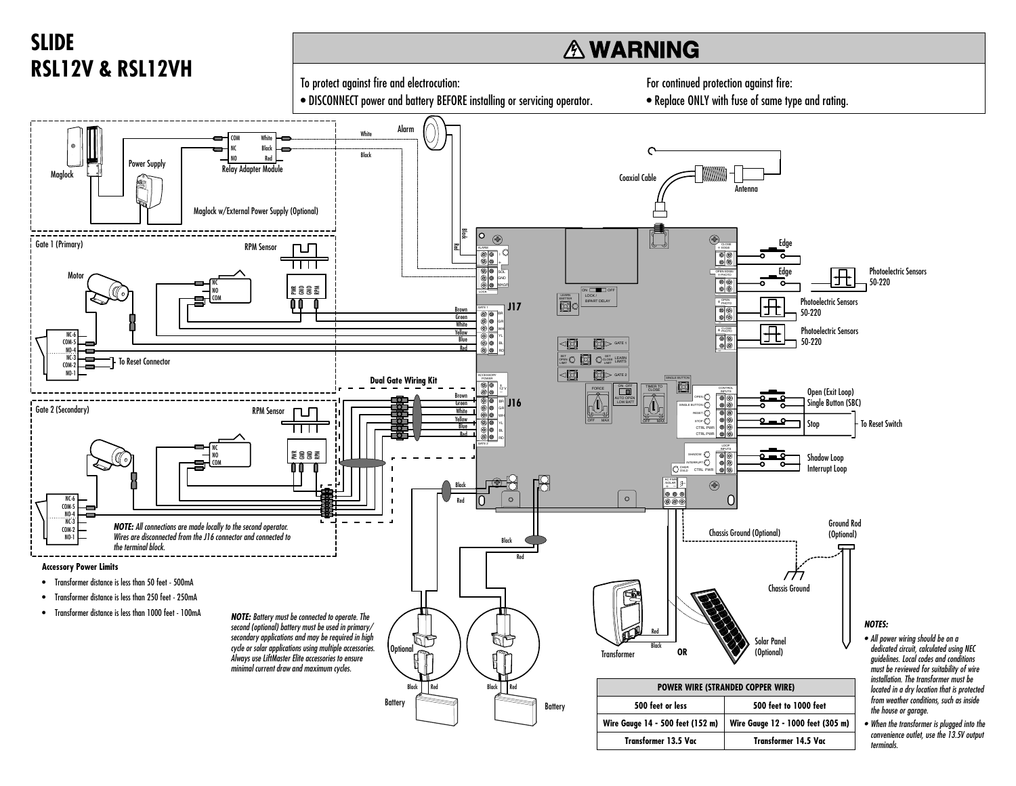